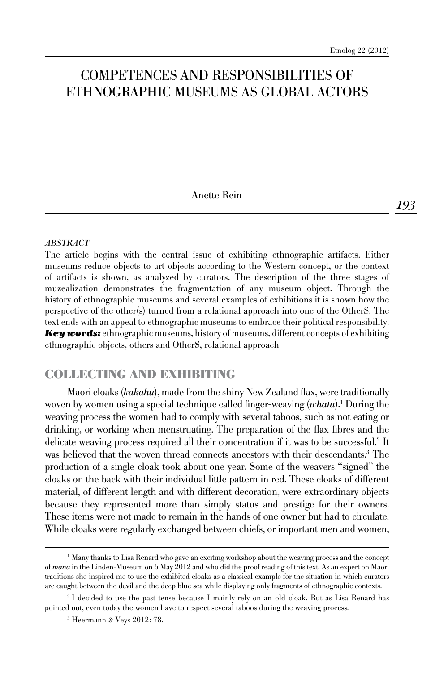# Competences and responsibilities of ethnographic museums as global actors

Anette Rein

#### *Abstract*

The article begins with the central issue of exhibiting ethnographic artifacts. Either museums reduce objects to art objects according to the Western concept, or the context of artifacts is shown, as analyzed by curators. The description of the three stages of muzealization demonstrates the fragmentation of any museum object. Through the history of ethnographic museums and several examples of exhibitions it is shown how the perspective of the other(s) turned from a relational approach into one of the OtherS. The text ends with an appeal to ethnographic museums to embrace their political responsibility. *Key words:* ethnographic museums, history of museums, different concepts of exhibiting ethnographic objects, others and OtherS, relational approach

## **COLLECTING AND EXHIBITING**

Maori cloaks (*kakahu*), made from the shiny New Zealand flax, were traditionally woven by women using a special technique called finger-weaving (*whatu*).1 During the weaving process the women had to comply with several taboos, such as not eating or drinking, or working when menstruating. The preparation of the flax fibres and the delicate weaving process required all their concentration if it was to be successful.<sup>2</sup> It was believed that the woven thread connects ancestors with their descendants.<sup>3</sup> The production of a single cloak took about one year. Some of the weavers "signed" the cloaks on the back with their individual little pattern in red. These cloaks of different material, of different length and with different decoration, were extraordinary objects because they represented more than simply status and prestige for their owners. These items were not made to remain in the hands of one owner but had to circulate. While cloaks were regularly exchanged between chiefs, or important men and women,

<sup>&</sup>lt;sup>1</sup> Many thanks to Lisa Renard who gave an exciting workshop about the weaving process and the concept of *mana* in the Linden-Museum on 6 May 2012 and who did the proof reading of this text. As an expert on Maori traditions she inspired me to use the exhibited cloaks as a classical example for the situation in which curators are caught between the devil and the deep blue sea while displaying only fragments of ethnographic contexts.

<sup>&</sup>lt;sup>2</sup> I decided to use the past tense because I mainly rely on an old cloak. But as Lisa Renard has pointed out, even today the women have to respect several taboos during the weaving process.

<sup>3</sup> Heermann & Veys 2012: 78.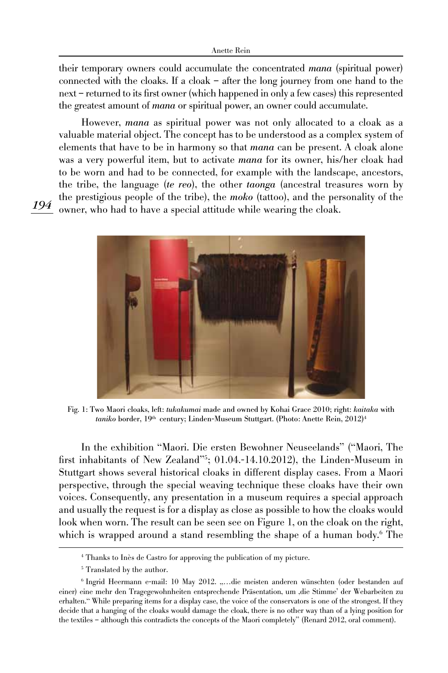their temporary owners could accumulate the concentrated *mana* (spiritual power) connected with the cloaks. If a cloak – after the long journey from one hand to the next – returned to its first owner (which happened in only a few cases) this represented the greatest amount of *mana* or spiritual power, an owner could accumulate.

However, *mana* as spiritual power was not only allocated to a cloak as a valuable material object. The concept has to be understood as a complex system of elements that have to be in harmony so that *mana* can be present. A cloak alone was a very powerful item, but to activate *mana* for its owner, his/her cloak had to be worn and had to be connected, for example with the landscape, ancestors, the tribe, the language (*te reo*), the other *taonga* (ancestral treasures worn by the prestigious people of the tribe), the *moko* (tattoo), and the personality of the owner, who had to have a special attitude while wearing the cloak.

*194*



Fig. 1: Two Maori cloaks, left: *tukakumai* made and owned by Kohai Grace 2010; right: *kaitaka* with taniko border, 19<sup>th</sup> century; Linden-Museum Stuttgart. (Photo: Anette Rein, 2012)<sup>4</sup>

In the exhibition "Maori. Die ersten Bewohner Neuseelands" ("Maori, The first inhabitants of New Zealand"5 ; 01.04.-14.10.2012), the Linden-Museum in Stuttgart shows several historical cloaks in different display cases. From a Maori perspective, through the special weaving technique these cloaks have their own voices. Consequently, any presentation in a museum requires a special approach and usually the request is for a display as close as possible to how the cloaks would look when worn. The result can be seen see on Figure 1, on the cloak on the right, which is wrapped around a stand resembling the shape of a human body.<sup>6</sup> The

<sup>4</sup> Thanks to Inès de Castro for approving the publication of my picture.

<sup>5</sup> Translated by the author.

<sup>&</sup>lt;sup>6</sup> Ingrid Heermann e-mail: 10 May 2012. "...die meisten anderen wünschten (oder bestanden auf einer) eine mehr den Tragegewohnheiten entsprechende Präsentation, um 'die Stimme' der Webarbeiten zu erhalten." While preparing items for a display case, the voice of the conservators is one of the strongest. If they decide that a hanging of the cloaks would damage the cloak, there is no other way than of a lying position for the textiles – although this contradicts the concepts of the Maori completely" (Renard 2012, oral comment).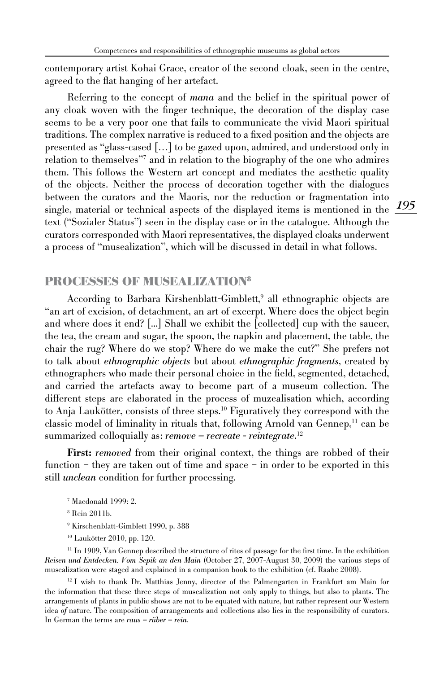contemporary artist Kohai Grace, creator of the second cloak, seen in the centre, agreed to the flat hanging of her artefact.

section the called term and the material, her the reduction of highermated in the 195 Referring to the concept of *mana* and the belief in the spiritual power of any cloak woven with the finger technique, the decoration of the display case seems to be a very poor one that fails to communicate the vivid Maori spiritual traditions. The complex narrative is reduced to a fixed position and the objects are presented as "glass-cased [...] to be gazed upon, admired, and understood only in relation to themselves"7 and in relation to the biography of the one who admires them. This follows the Western art concept and mediates the aesthetic quality of the objects. Neither the process of decoration together with the dialogues between the curators and the Maoris, nor the reduction or fragmentation into text ("Sozialer Status") seen in the display case or in the catalogue. Although the curators corresponded with Maori representatives, the displayed cloaks underwent a process of "musealization", which will be discussed in detail in what follows.

## **PROCESSES OF MUSEALIZATION8**

According to Barbara Kirshenblatt-Gimblett,<sup>9</sup> all ethnographic objects are "an art of excision, of detachment, an art of excerpt. Where does the object begin and where does it end? [...] Shall we exhibit the [collected] cup with the saucer, the tea, the cream and sugar, the spoon, the napkin and placement, the table, the chair the rug? Where do we stop? Where do we make the cut?" She prefers not to talk about *ethnographic objects* but about *ethnographic fragments*, created by ethnographers who made their personal choice in the field, segmented, detached, and carried the artefacts away to become part of a museum collection. The different steps are elaborated in the process of muzealisation which, according to Anja Laukötter, consists of three steps.10 Figuratively they correspond with the classic model of liminality in rituals that, following Arnold van Gennep, $^{11}$  can be summarized colloquially as: *remove – recreate - reintegrate*. 12

First: *removed* from their original context, the things are robbed of their function – they are taken out of time and space – in order to be exported in this still *unclean* condition for further processing.

<sup>9</sup> Kirschenblatt-Gimblett 1990, p. 388

<sup>11</sup> In 1909, Van Gennep described the structure of rites of passage for the first time. In the exhibition *Reisen und Entdecken. Vom Sepik an den Main* (October 27, 2007-August 30, 2009) the various steps of musealization were staged and explained in a companion book to the exhibition (cf. Raabe 2008).

<sup>12</sup> I wish to thank Dr. Matthias Jenny, director of the Palmengarten in Frankfurt am Main for the information that these three steps of musealization not only apply to things, but also to plants. The arrangements of plants in public shows are not to be equated with nature, but rather represent our Western idea *of* nature. The composition of arrangements and collections also lies in the responsibility of curators. In German the terms are *raus – rüber – rein*.

<sup>7</sup> Macdonald 1999: 2.

<sup>8</sup> Rein 2011b.

<sup>10</sup> Laukötter 2010, pp. 120.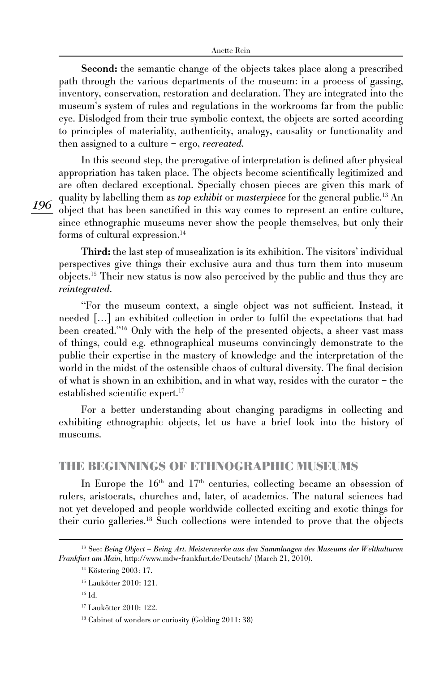Second: the semantic change of the objects takes place along a prescribed path through the various departments of the museum: in a process of gassing, inventory, conservation, restoration and declaration. They are integrated into the museum's system of rules and regulations in the workrooms far from the public eye. Dislodged from their true symbolic context, the objects are sorted according to principles of materiality, authenticity, analogy, causality or functionality and then assigned to a culture – ergo, *recreated*.

In this second step, the prerogative of interpretation is defined after physical appropriation has taken place. The objects become scientifically legitimized and are often declared exceptional. Specially chosen pieces are given this mark of quality by labelling them as *top exhibit* or *masterpiece* for the general public.13 An object that has been sanctified in this way comes to represent an entire culture, since ethnographic museums never show the people themselves, but only their forms of cultural expression.14

Third: the last step of musealization is its exhibition. The visitors' individual perspectives give things their exclusive aura and thus turn them into museum objects.15 Their new status is now also perceived by the public and thus they are *reintegrated*.

"For the museum context, a single object was not sufficient. Instead, it needed [...] an exhibited collection in order to fulfil the expectations that had been created."16 Only with the help of the presented objects, a sheer vast mass of things, could e.g. ethnographical museums convincingly demonstrate to the public their expertise in the mastery of knowledge and the interpretation of the world in the midst of the ostensible chaos of cultural diversity. The final decision of what is shown in an exhibition, and in what way, resides with the curator – the established scientific expert.<sup>17</sup>

For a better understanding about changing paradigms in collecting and exhibiting ethnographic objects, let us have a brief look into the history of museums.

## **THE BEGINNINGS OF ETHNOGRAPHIC MUSEUMS**

In Europe the  $16<sup>th</sup>$  and  $17<sup>th</sup>$  centuries, collecting became an obsession of rulers, aristocrats, churches and, later, of academics. The natural sciences had not yet developed and people worldwide collected exciting and exotic things for their curio galleries.18 Such collections were intended to prove that the objects

*196*

<sup>&</sup>lt;sup>13</sup> See: Being Object – Being Art. Meisterwerke aus den Sammlungen des Museums der Weltkulturen *Frankfurt am Main*, http://www.mdw-frankfurt.de/Deutsch/ (March 21, 2010).

<sup>14</sup> Köstering 2003: 17.

<sup>15</sup> Laukötter 2010: 121.

<sup>16</sup> Id.

<sup>17</sup> Laukötter 2010: 122.

<sup>18</sup> Cabinet of wonders or curiosity (Golding 2011: 38)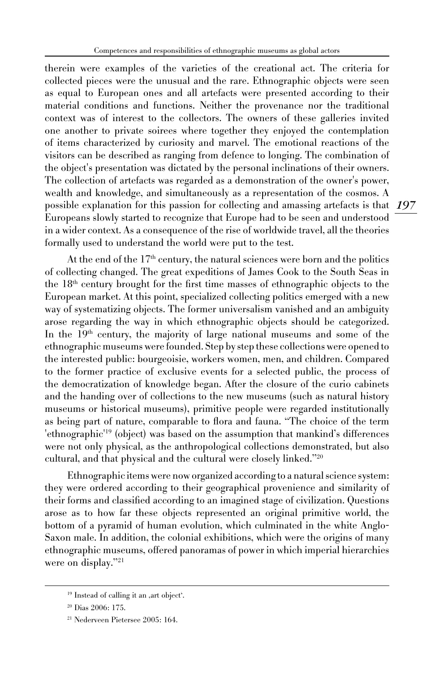*197* possible explanation for this passion for collecting and amassing artefacts is that therein were examples of the varieties of the creational act. The criteria for collected pieces were the unusual and the rare. Ethnographic objects were seen as equal to European ones and all artefacts were presented according to their material conditions and functions. Neither the provenance nor the traditional context was of interest to the collectors. The owners of these galleries invited one another to private soirees where together they enjoyed the contemplation of items characterized by curiosity and marvel. The emotional reactions of the visitors can be described as ranging from defence to longing. The combination of the object's presentation was dictated by the personal inclinations of their owners. The collection of artefacts was regarded as a demonstration of the owner's power, wealth and knowledge, and simultaneously as a representation of the cosmos. A Europeans slowly started to recognize that Europe had to be seen and understood in a wider context. As a consequence of the rise of worldwide travel, all the theories formally used to understand the world were put to the test.

At the end of the  $17<sup>th</sup>$  century, the natural sciences were born and the politics of collecting changed. The great expeditions of James Cook to the South Seas in the 18<sup>th</sup> century brought for the first time masses of ethnographic objects to the European market. At this point, specialized collecting politics emerged with a new way of systematizing objects. The former universalism vanished and an ambiguity arose regarding the way in which ethnographic objects should be categorized. In the 19<sup>th</sup> century, the majority of large national museums and some of the ethnographic museums were founded. Step by step these collections were opened to the interested public: bourgeoisie, workers women, men, and children. Compared to the former practice of exclusive events for a selected public, the process of the democratization of knowledge began. After the closure of the curio cabinets and the handing over of collections to the new museums (such as natural history museums or historical museums), primitive people were regarded institutionally as being part of nature, comparable to flora and fauna. "The choice of the term 'ethnographic'19 (object) was based on the assumption that mankind's differences were not only physical, as the anthropological collections demonstrated, but also cultural, and that physical and the cultural were closely linked."20

Ethnographic items were now organized according to a natural science system: they were ordered according to their geographical provenience and similarity of their forms and classified according to an imagined stage of civilization. Questions arose as to how far these objects represented an original primitive world, the bottom of a pyramid of human evolution, which culminated in the white Anglo-Saxon male. In addition, the colonial exhibitions, which were the origins of many ethnographic museums, offered panoramas of power in which imperial hierarchies were on display."<sup>21</sup>

<sup>&</sup>lt;sup>19</sup> Instead of calling it an ,art object'.

<sup>20</sup> Dias 2006: 175.

<sup>21</sup> Nederveen Pietersee 2005: 164.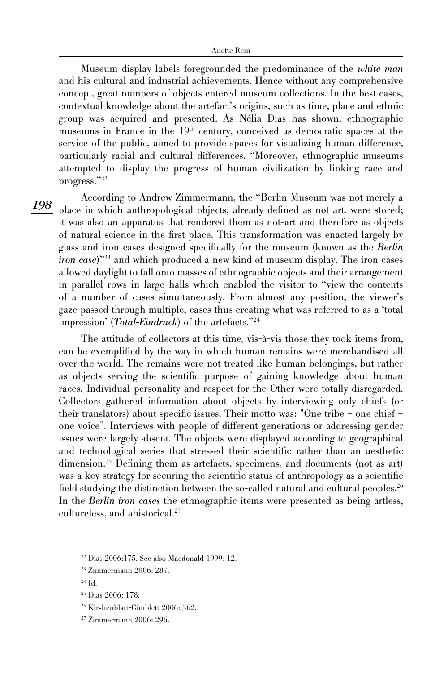Museum display labels foregrounded the predominance of the *white man*  and his cultural and industrial achievements. Hence without any comprehensive concept, great numbers of objects entered museum collections. In the best cases, contextual knowledge about the artefact's origins, such as time, place and ethnic group was acquired and presented. As Nélia Dias has shown, ethnographic museums in France in the 19<sup>th</sup> century, conceived as democratic spaces at the service of the public, aimed to provide spaces for visualizing human difference, particularly racial and cultural differences. "Moreover, ethnographic museums attempted to display the progress of human civilization by linking race and progress."22

*198*

According to Andrew Zimmermann, the "Berlin Museum was not merely a place in which anthropological objects, already defined as not-art, were stored; it was also an apparatus that rendered them as not-art and therefore as objects of natural science in the first place. This transformation was enacted largely by glass and iron cases designed specifically for the museum (known as the *Berlin iron case*)"23 and which produced a new kind of museum display. The iron cases allowed daylight to fall onto masses of ethnographic objects and their arrangement in parallel rows in large halls which enabled the visitor to "view the contents of a number of cases simultaneously. From almost any position, the viewer's gaze passed through multiple, cases thus creating what was referred to as a �total impression' (*Total-Eindruck*) of the artefacts."24

The attitude of collectors at this time, vis-à-vis those they took items from, can be exemplified by the way in which human remains were merchandised all over the world. The remains were not treated like human belongings, but rather as objects serving the scientific purpose of gaining knowledge about human races. Individual personality and respect for the Other were totally disregarded. Collectors gathered information about objects by interviewing only chiefs (or their translators) about specific issues. Their motto was: "One tribe – one chief – one voice". Interviews with people of different generations or addressing gender issues were largely absent. The objects were displayed according to geographical and technological series that stressed their scientific rather than an aesthetic dimension.<sup>25</sup> Defining them as artefacts, specimens, and documents (not as art) was a key strategy for securing the scientific status of anthropology as a scientific field studying the distinction between the so-called natural and cultural peoples.<sup>26</sup> In the *Berlin iron cases* the ethnographic items were presented as being artless, cultureless, and ahistorical.27

<sup>22</sup> Dias 2006:175. See also Macdonald 1999: 12.

<sup>23</sup> Zimmermann 2006: 287.

<sup>24</sup> Id.

<sup>25</sup> Dias 2006: 178.

<sup>26</sup> Kirshenblatt-Gimblett 2006: 362.

<sup>27</sup> Zimmermann 2006: 296.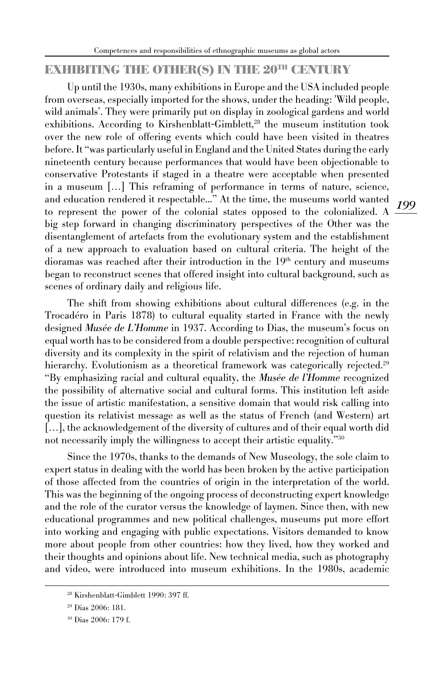## **EXHIBITING THE OTHER(S) IN THE 20TH CENTURY**

Up until the 1930s, many exhibitions in Europe and the USA included people from overseas, especially imported for the shows, under the heading: 'Wild people, wild animals'. They were primarily put on display in zoological gardens and world exhibitions. According to Kirshenblatt-Gimblett,<sup>28</sup> the museum institution took over the new role of offering events which could have been visited in theatres before. It "was particularly useful in England and the United States during the early nineteenth century because performances that would have been objectionable to conservative Protestants if staged in a theatre were acceptable when presented in a museum [...] This reframing of performance in terms of nature, science, and education rendered it respectable..." At the time, the museums world wanted to represent the power of the colonial states opposed to the colonialized. A big step forward in changing discriminatory perspectives of the Other was the disentanglement of artefacts from the evolutionary system and the establishment of a new approach to evaluation based on cultural criteria. The height of the dioramas was reached after their introduction in the 19<sup>th</sup> century and museums began to reconstruct scenes that offered insight into cultural background, such as scenes of ordinary daily and religious life.

The shift from showing exhibitions about cultural differences (e.g. in the Trocadéro in Paris 1878) to cultural equality started in France with the newly designed *Musée de L'Homme* in 1937. According to Dias, the museum's focus on equal worth has to be considered from a double perspective: recognition of cultural diversity and its complexity in the spirit of relativism and the rejection of human hierarchy. Evolutionism as a theoretical framework was categorically rejected.<sup>29</sup> "By emphasizing racial and cultural equality, the *Musée de l'Homme* recognized the possibility of alternative social and cultural forms. This institution left aside the issue of artistic manifestation, a sensitive domain that would risk calling into question its relativist message as well as the status of French (and Western) art [...], the acknowledgement of the diversity of cultures and of their equal worth did not necessarily imply the willingness to accept their artistic equality."30

Since the 1970s, thanks to the demands of New Museology, the sole claim to expert status in dealing with the world has been broken by the active participation of those affected from the countries of origin in the interpretation of the world. This was the beginning of the ongoing process of deconstructing expert knowledge and the role of the curator versus the knowledge of laymen. Since then, with new educational programmes and new political challenges, museums put more effort into working and engaging with public expectations. Visitors demanded to know more about people from other countries: how they lived, how they worked and their thoughts and opinions about life. New technical media, such as photography and video, were introduced into museum exhibitions. In the 1980s, academic

<sup>28</sup> Kirshenblatt-Gimblett 1990: 397 ff.

<sup>29</sup> Dias 2006: 181.

<sup>30</sup> Dias 2006: 179 f.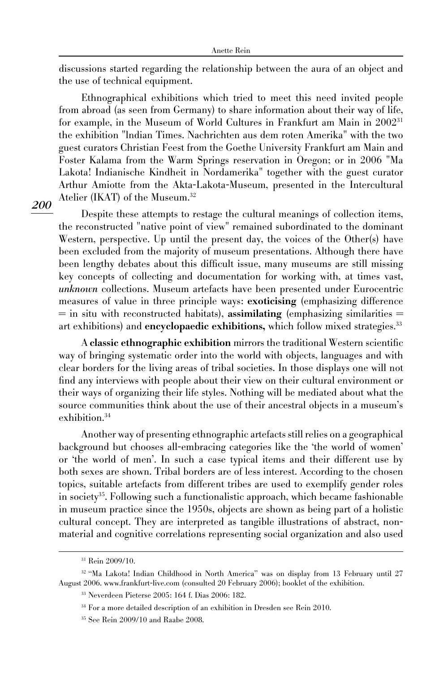discussions started regarding the relationship between the aura of an object and the use of technical equipment.

Ethnographical exhibitions which tried to meet this need invited people from abroad (as seen from Germany) to share information about their way of life, for example, in the Museum of World Cultures in Frankfurt am Main in 200231 the exhibition "lndian Times. Nachrichten aus dem roten Amerika" with the two guest curators Christian Feest from the Goethe University Frankfurt am Main and Foster Kalama from the Warm Springs reservation in Oregon; or in 2006 "Ma Lakota! Indianische Kindheit in Nordamerika" together with the guest curator Arthur Amiotte from the Akta-Lakota-Museum, presented in the Intercultural Atelier (IKAT) of the Museum.32

Despite these attempts to restage the cultural meanings of collection items, the reconstructed "native point of view" remained subordinated to the dominant Western, perspective. Up until the present day, the voices of the Other(s) have been excluded from the majority of museum presentations. Although there have been lengthy debates about this difficult issue, many museums are still missing key concepts of collecting and documentation for working with, at times vast, *unknown* collections. Museum artefacts have been presented under Eurocentric measures of value in three principle ways: exoticising (emphasizing difference  $=$  in situ with reconstructed habitats), assimilating (emphasizing similarities  $=$ art exhibitions) and **encyclopaedic exhibitions**, which follow mixed strategies.<sup>33</sup>

A classic ethnographic exhibition mirrors the traditional Western scientific way of bringing systematic order into the world with objects, languages and with clear borders for the living areas of tribal societies. In those displays one will not find any interviews with people about their view on their cultural environment or their ways of organizing their life styles. Nothing will be mediated about what the source communities think about the use of their ancestral objects in a museum's exhibition.34

Another way of presenting ethnographic artefacts still relies on a geographical background but chooses all-embracing categories like the �the world of women' or �the world of men'. In such a case typical items and their different use by both sexes are shown. Tribal borders are of less interest. According to the chosen topics, suitable artefacts from different tribes are used to exemplify gender roles in society<sup>35</sup>. Following such a functionalistic approach, which became fashionable in museum practice since the 1950s, objects are shown as being part of a holistic cultural concept. They are interpreted as tangible illustrations of abstract, nonmaterial and cognitive correlations representing social organization and also used

*200*

<sup>31</sup> Rein 2009/10.

<sup>32</sup> "Ma Lakota! Indian Childhood in North America" was on display from 13 February until 27 August 2006. www.frankfurt-live.com (consulted 20 February 2006); booklet of the exhibition.

<sup>33</sup> Neverdeen Pieterse 2005: 164 f. Dias 2006: 182.

<sup>&</sup>lt;sup>34</sup> For a more detailed description of an exhibition in Dresden see Rein 2010.

<sup>35</sup> See Rein 2009/10 and Raabe 2008.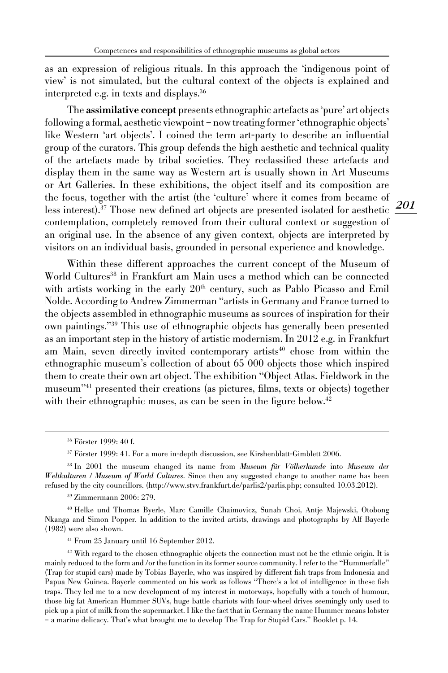as an expression of religious rituals. In this approach the �indigenous point of view' is not simulated, but the cultural context of the objects is explained and interpreted e.g. in texts and displays.36

less interest).<sup>37</sup> Those new defined art objects are presented isolated for aesthetic  $\frac{201}{100}$ The assimilative concept presents ethnographic artefacts as 'pure' art objects following a formal, aesthetic viewpoint – now treating former �ethnographic objects' like Western 'art objects'. I coined the term art-party to describe an influential group of the curators. This group defends the high aesthetic and technical quality of the artefacts made by tribal societies. They reclassified these artefacts and display them in the same way as Western art is usually shown in Art Museums or Art Galleries. In these exhibitions, the object itself and its composition are the focus, together with the artist (the 'culture' where it comes from became of contemplation, completely removed from their cultural context or suggestion of an original use. In the absence of any given context, objects are interpreted by visitors on an individual basis, grounded in personal experience and knowledge.

Within these different approaches the current concept of the Museum of World Cultures<sup>38</sup> in Frankfurt am Main uses a method which can be connected with artists working in the early 20<sup>th</sup> century, such as Pablo Picasso and Emil Nolde. According to Andrew Zimmerman "artists in Germany and France turned to the objects assembled in ethnographic museums as sources of inspiration for their own paintings."39 This use of ethnographic objects has generally been presented as an important step in the history of artistic modernism. In 2012 e.g. in Frankfurt am Main, seven directly invited contemporary artists<sup>40</sup> chose from within the ethnographic museum's collection of about 65 000 objects those which inspired them to create their own art object. The exhibition "Object Atlas. Fieldwork in the museum"41 presented their creations (as pictures, films, texts or objects) together with their ethnographic muses, as can be seen in the figure below.<sup>42</sup>

<sup>39</sup> Zimmermann 2006: 279.

<sup>41</sup> From 25 January until 16 September 2012.

<sup>36</sup> Förster 1999: 40 f.

<sup>37</sup> Förster 1999: 41. For a more in-depth discussion, see Kirshenblatt-Gimblett 2006.

<sup>38</sup> In 2001 the museum changed its name from *Museum für Völkerkunde* into *Museum der Weltkulturen / Museum of World Cultures*. Since then any suggested change to another name has been refused by the city councillors. (http://www.stvv.frankfurt.de/parlis2/parlis.php; consulted 10.03.2012).

<sup>40</sup> Helke und Thomas Byerle, Marc Camille Chaimovicz, Sunah Choi, Antje Majewski, Otobong Nkanga and Simon Popper. In addition to the invited artists, drawings and photographs by Alf Bayerle (1982) were also shown.

 $42$  With regard to the chosen ethnographic objects the connection must not be the ethnic origin. It is mainly reduced to the form and /or the function in its former source community. I refer to the "Hummerfalle" (Trap for stupid cars) made by Tobias Bayerle, who was inspired by different fish traps from Indonesia and Papua New Guinea. Bayerle commented on his work as follows "There's a lot of intelligence in these fish traps. They led me to a new development of my interest in motorways, hopefully with a touch of humour, those big fat American Hummer SUVs, huge battle chariots with four-wheel drives seemingly only used to pick up a pint of milk from the supermarket. I like the fact that in Germany the name Hummer means lobster – a marine delicacy. That's what brought me to develop The Trap for Stupid Cars." Booklet p. 14.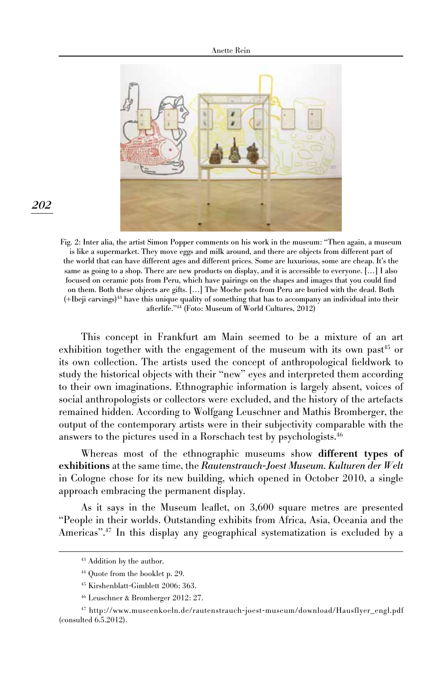#### Anette Rein



#### Fig. 2: Inter alia, the artist Simon Popper comments on his work in the museum: "Then again, a museum is like a supermarket. They move eggs and milk around, and there are objects from different part of the world that can have different ages and different prices. Some are luxurious, some are cheap. It's the same as going to a shop. There are new products on display, and it is accessible to everyone.  $[\ldots]$  I also focused on ceramic pots from Peru, which have pairings on the shapes and images that you could find on them. Both these objects are gifts. [...] The Moche pots from Peru are buried with the dead. Both (+Ibeji carvings)43 have this unique quality of something that has to accompany an individual into their afterlife."44 (Foto: Museum of World Cultures, 2012)

This concept in Frankfurt am Main seemed to be a mixture of an art exhibition together with the engagement of the museum with its own past<sup>45</sup> or its own collection. The artists used the concept of anthropological fieldwork to study the historical objects with their "new" eyes and interpreted them according to their own imaginations. Ethnographic information is largely absent, voices of social anthropologists or collectors were excluded, and the history of the artefacts remained hidden. According to Wolfgang Leuschner and Mathis Bromberger, the output of the contemporary artists were in their subjectivity comparable with the answers to the pictures used in a Rorschach test by psychologists.46

Whereas most of the ethnographic museums show different types of exhibitions at the same time, the *Rautenstrauch-Joest Museum. Kulturen der Welt*  in Cologne chose for its new building, which opened in October 2010, a single approach embracing the permanent display.

As it says in the Museum leaflet, on 3,600 square metres are presented "People in their worlds. Outstanding exhibits from Africa, Asia, Oceania and the Americas".<sup>47</sup> In this display any geographical systematization is excluded by a

*202*

<sup>43</sup> Addition by the author.

<sup>44</sup> Quote from the booklet p. 29.

<sup>45</sup> Kirshenblatt-Gimblett 2006: 363.

<sup>46</sup> Leuschner & Bromberger 2012: 27.

<sup>47</sup> http://www.museenkoeln.de/rautenstrauch-joest-museum/download/Hausflyer\_engl.pdf (consulted 6.5.2012).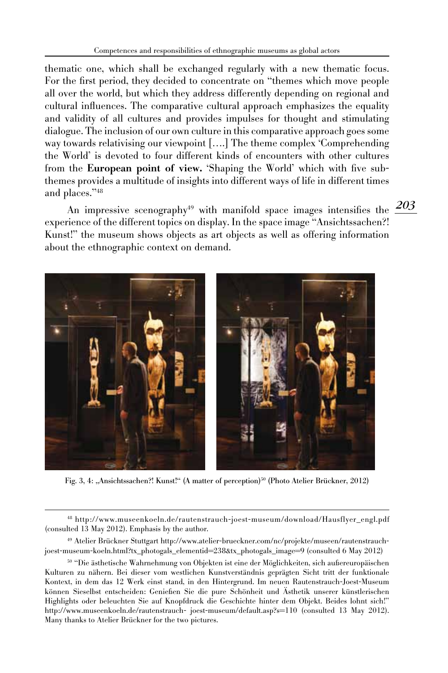thematic one, which shall be exchanged regularly with a new thematic focus. For the first period, they decided to concentrate on "themes which move people all over the world, but which they address differently depending on regional and cultural influences. The comparative cultural approach emphasizes the equality and validity of all cultures and provides impulses for thought and stimulating dialogue. The inclusion of our own culture in this comparative approach goes some way towards relativising our viewpoint [....] The theme complex 'Comprehending the World' is devoted to four different kinds of encounters with other cultures from the European point of view. 'Shaping the World' which with five subthemes provides a multitude of insights into different ways of life in different times and places."48

An impressive scenography<sup>49</sup> with manifold space images intensifies the  $\frac{203}{3}$ experience of the different topics on display. In the space image "Ansichtssachen?! Kunst!" the museum shows objects as art objects as well as offering information about the ethnographic context on demand.



Fig. 3, 4: "Ansichtssachen?! Kunst!" (A matter of perception)<sup>50</sup> (Photo Atelier Brückner, 2012)

<sup>48</sup> http://www.museenkoeln.de/rautenstrauch-joest-museum/download/Hausflyer\_engl.pdf (consulted 13 May 2012). Emphasis by the author.

<sup>49</sup> Atelier Brückner Stuttgart http://www.atelier-brueckner.com/nc/projekte/museen/rautenstrauchjoest-museum-koeln.html?tx\_photogals\_elementid=238&tx\_photogals\_image=9 (consulted 6 May 2012)

<sup>50</sup> "Die ästhetische Wahrnehmung von Objekten ist eine der Möglichkeiten, sich außereuropäischen Kulturen zu nähern. Bei dieser vom westlichen Kunstverständnis geprägten Sicht tritt der funktionale Kontext, in dem das 12 Werk einst stand, in den Hintergrund. Im neuen Rautenstrauch-Joest-Museum können Sieselbst entscheiden: Genießen Sie die pure Schönheit und Ästhetik unserer künstlerischen Highlights oder beleuchten Sie auf Knopfdruck die Geschichte hinter dem Objekt. Beides lohnt sich!" http://www.museenkoeln.de/rautenstrauch- joest-museum/default.asp?s=110 (consulted 13 May 2012). Many thanks to Atelier Brückner for the two pictures.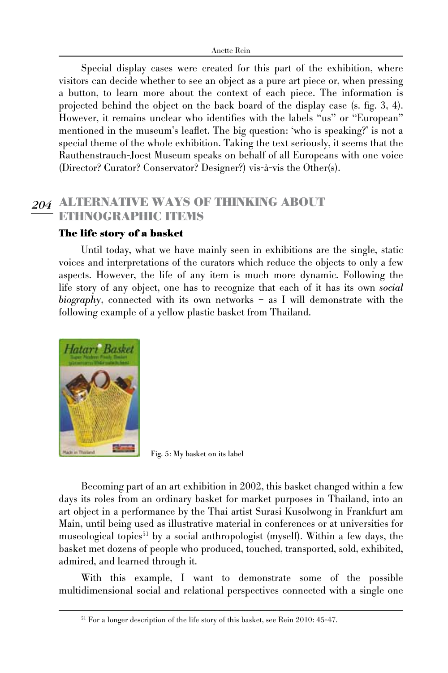Special display cases were created for this part of the exhibition, where visitors can decide whether to see an object as a pure art piece or, when pressing a button, to learn more about the context of each piece. The information is projected behind the object on the back board of the display case (s. fig. 3, 4). However, it remains unclear who identifies with the labels "us" or "European" mentioned in the museum's leaflet. The big question: 'who is speaking?' is not a special theme of the whole exhibition. Taking the text seriously, it seems that the Rauthenstrauch-Joest Museum speaks on behalf of all Europeans with one voice (Director? Curator? Conservator? Designer?) vis-à-vis the Other(s).

#### **204 ALTERN ATIVE WAYS OF THINKING ABOUT ETHNOGRAPHIC ITEMS**

### **The life story of a basket**

Until today, what we have mainly seen in exhibitions are the single, static voices and interpretations of the curators which reduce the objects to only a few aspects. However, the life of any item is much more dynamic. Following the life story of any object, one has to recognize that each of it has its own *social biography*, connected with its own networks – as I will demonstrate with the following example of a yellow plastic basket from Thailand.



Fig. 5: My basket on its label

Becoming part of an art exhibition in 2002, this basket changed within a few days its roles from an ordinary basket for market purposes in Thailand, into an art object in a performance by the Thai artist Surasi Kusolwong in Frankfurt am Main, until being used as illustrative material in conferences or at universities for museological topics<sup>51</sup> by a social anthropologist (myself). Within a few days, the basket met dozens of people who produced, touched, transported, sold, exhibited, admired, and learned through it.

With this example, I want to demonstrate some of the possible multidimensional social and relational perspectives connected with a single one

<sup>51</sup> For a longer description of the life story of this basket, see Rein 2010: 45-47.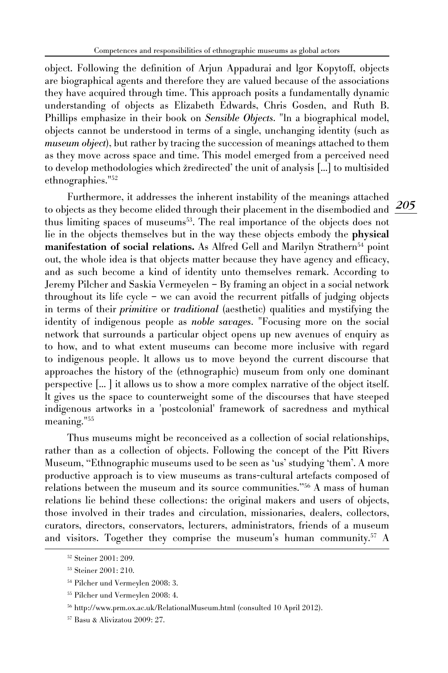object. Following the definition of Arjun Appadurai and lgor Kopytoff, objects are biographical agents and therefore they are valued because of the associations they have acquired through time. This approach posits a fundamentally dynamic understanding of objects as Elizabeth Edwards, Chris Gosden, and Ruth B. Phillips emphasize in their book on *Sensible Objects*. "ln a biographical model, objects cannot be understood in terms of a single, unchanging identity (such as *museum object*), but rather by tracing the succession of meanings attached to them as they move across space and time. This model emerged from a perceived need to develop methodologies which žredirected' the unit of analysis [...] to multisided ethnographies."52

to objects as they become elided through their placement in the disembodied and  $\frac{205}{\sqrt{25}}$ Furthermore, it addresses the inherent instability of the meanings attached thus limiting spaces of museums53. The real importance of the objects does not lie in the objects themselves but in the way these objects embody the physical manifestation of social relations. As Alfred Gell and Marilyn Strathern54 point out, the whole idea is that objects matter because they have agency and efficacy, and as such become a kind of identity unto themselves remark. According to Jeremy Pilcher and Saskia Vermeyelen – By framing an object in a social network throughout its life cycle – we can avoid the recurrent pitfalls of judging objects in terms of their *primitive* or *traditional* (aesthetic) qualities and mystifying the identity of indigenous people as *noble savages*. "Focusing more on the social network that surrounds a particular object opens up new avenues of enquiry as to how, and to what extent museums can become more inclusive with regard to indigenous people. lt allows us to move beyond the current discourse that approaches the history of the (ethnographic) museum from only one dominant perspective  $\lceil \dots \rceil$  it allows us to show a more complex narrative of the object itself. lt gives us the space to counterweight some of the discourses that have steeped indigenous artworks in a 'postcolonial' framework of sacredness and mythical meaning."55

Thus museums might be reconceived as a collection of social relationships, rather than as a collection of objects. Following the concept of the Pitt Rivers Museum, "Ethnographic museums used to be seen as 'us' studying 'them'. A more productive approach is to view museums as trans-cultural artefacts composed of relations between the museum and its source communities."56 A mass of human relations lie behind these collections: the original makers and users of objects, those involved in their trades and circulation, missionaries, dealers, collectors, curators, directors, conservators, lecturers, administrators, friends of a museum and visitors. Together they comprise the museum's human community.57 A

<sup>52</sup> Steiner 2001: 209.

<sup>53</sup> Steiner 2001: 210.

<sup>54</sup> Pilcher und Vermeylen 2008: 3.

<sup>55</sup> Pilcher und Vermeylen 2008: 4.

<sup>56</sup> http://www.prm.ox.ac.uk/RelationalMuseum.html (consulted 10 April 2012).

<sup>57</sup> Basu & Alivizatou 2009: 27.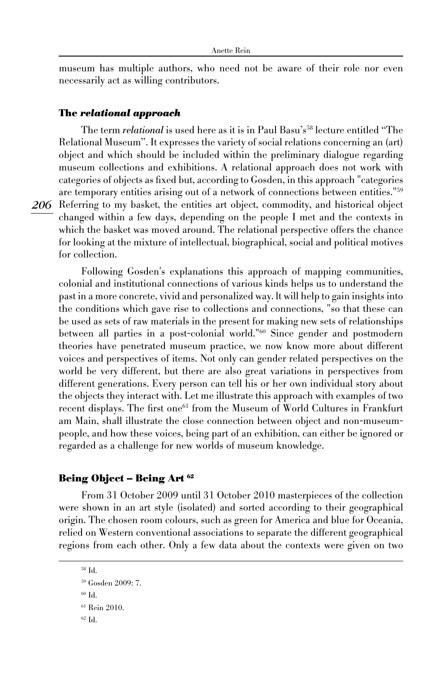museum has multiple authors, who need not be aware of their role nor even necessarily act as willing contributors.

#### **The** *relational approach*

*206* Referring to my basket, the entities art object, commodity, and historical object The term *relational* is used here as it is in Paul Basu's<sup>58</sup> lecture entitled "The Relational Museum". It expresses the variety of social relations concerning an (art) object and which should be included within the preliminary dialogue regarding museum collections and exhibitions. A relational approach does not work with categories of objects as fixed but, according to Gosden, in this approach "categories are temporary entities arising out of a network of connections between entities."59 changed within a few days, depending on the people I met and the contexts in which the basket was moved around. The relational perspective offers the chance for looking at the mixture of intellectual, biographical, social and political motives for collection.

Following Gosden's explanations this approach of mapping communities, colonial and institutional connections of various kinds helps us to understand the past in a more concrete, vivid and personalized way. lt will help to gain insights into the conditions which gave rise to collections and connections, "so that these can be used as sets of raw materials in the present for making new sets of relationships between all parties in a post-colonial world."60 Since gender and postmodern theories have penetrated museum practice, we now know more about different voices and perspectives of items. Not only can gender related perspectives on the world be very different, but there are also great variations in perspectives from different generations. Every person can tell his or her own individual story about the objects they interact with. Let me illustrate this approach with examples of two recent displays. The first one<sup>61</sup> from the Museum of World Cultures in Frankfurt am Main, shall illustrate the close connection between object and non-museumpeople, and how these voices, being part of an exhibition, can either be ignored or regarded as a challenge for new worlds of museum knowledge.

#### **Being Object – Being Art 62**

From 31 October 2009 until 31 October 2010 masterpieces of the collection were shown in an art style (isolated) and sorted according to their geographical origin. The chosen room colours, such as green for America and blue for Oceania, relied on Western conventional associations to separate the different geographical regions from each other. Only a few data about the contexts were given on two

<sup>58</sup> Id. <sup>59</sup> Gosden 2009: 7. <sup>60</sup> Id. <sup>61</sup> Rein 2010. <sup>62</sup> Id.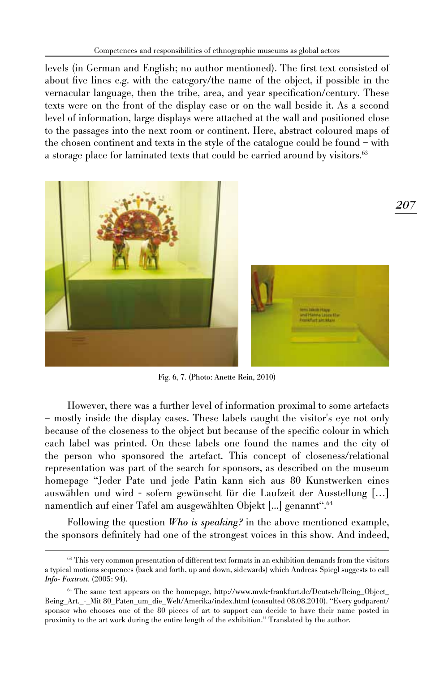levels (in German and English; no author mentioned). The first text consisted of about five lines e.g. with the category/the name of the object, if possible in the vernacular language, then the tribe, area, and year specification/century. These texts were on the front of the display case or on the wall beside it. As a second level of information, large displays were attached at the wall and positioned close to the passages into the next room or continent. Here, abstract coloured maps of the chosen continent and texts in the style of the catalogue could be found – with a storage place for laminated texts that could be carried around by visitors.<sup>63</sup>



Fig. 6, 7. (Photo: Anette Rein, 2010)

However, there was a further level of information proximal to some artefacts – mostly inside the display cases. These labels caught the visitor's eye not only because of the closeness to the object but because of the specific colour in which each label was printed. On these labels one found the names and the city of the person who sponsored the artefact. This concept of closeness/relational representation was part of the search for sponsors, as described on the museum homepage "Jeder Pate und jede Patin kann sich aus 80 Kunstwerken eines auswählen und wird - sofern gewünscht für die Laufzeit der Ausstellung [...] namentlich auf einer Tafel am ausgewählten Objekt [...] genannt".<sup>64</sup>

Following the question *Who is speaking?* in the above mentioned example, the sponsors definitely had one of the strongest voices in this show. And indeed,

 $63$  This very common presentation of different text formats in an exhibition demands from the visitors a typical motions sequences (back and forth, up and down, sidewards) which Andreas Spiegl suggests to call *Info- Foxtrott*. (2005: 94).

<sup>&</sup>lt;sup>64</sup> The same text appears on the homepage, http://www.mwk-frankfurt.de/Deutsch/Being\_Object\_ Being\_Art.\_-\_Mit 80\_Paten\_um\_die\_Welt/Amerika/index.html (consulted 08.08.2010). "Every godparent/ sponsor who chooses one of the 80 pieces of art to support can decide to have their name posted in proximity to the art work during the entire length of the exhibition." Translated by the author.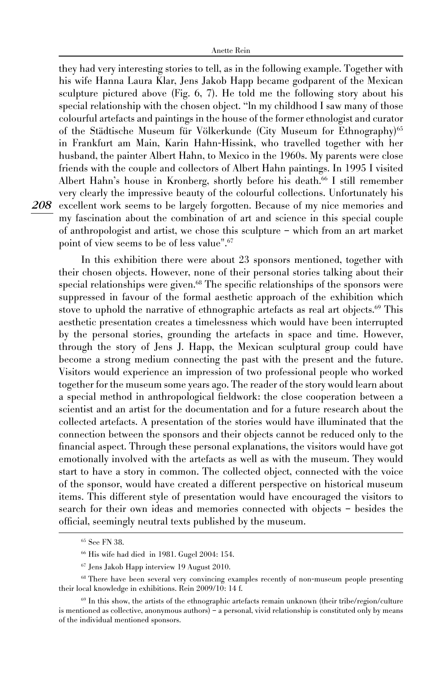*208* excellent work seems to be largely forgotten. Because of my nice memories and they had very interesting stories to tell, as in the following example. Together with his wife Hanna Laura Klar, Jens Jakob Happ became godparent of the Mexican sculpture pictured above (Fig. 6, 7). He told me the following story about his special relationship with the chosen object. "ln my childhood I saw many of those colourful artefacts and paintings in the house of the former ethnologist and curator of the Städtische Museum für Völkerkunde (City Museum for Ethnography)65 in Frankfurt am Main, Karin Hahn-Hissink, who travelled together with her husband, the painter Albert Hahn, to Mexico in the 1960s. My parents were close friends with the couple and collectors of Albert Hahn paintings. In 1995 I visited Albert Hahn's house in Kronberg, shortly before his death.<sup>66</sup> I still remember very clearly the impressive beauty of the colourful collections. Unfortunately his my fascination about the combination of art and science in this special couple of anthropologist and artist, we chose this sculpture – which from an art market point of view seems to be of less value".67

In this exhibition there were about 23 sponsors mentioned, together with their chosen objects. However, none of their personal stories talking about their special relationships were given.<sup>68</sup> The specific relationships of the sponsors were suppressed in favour of the formal aesthetic approach of the exhibition which stove to uphold the narrative of ethnographic artefacts as real art objects.<sup>69</sup> This aesthetic presentation creates a timelessness which would have been interrupted by the personal stories, grounding the artefacts in space and time. However, through the story of Jens J. Happ, the Mexican sculptural group could have become a strong medium connecting the past with the present and the future. Visitors would experience an impression of two professional people who worked together for the museum some years ago. The reader of the story would learn about a special method in anthropological fieldwork: the close cooperation between a scientist and an artist for the documentation and for a future research about the collected artefacts. A presentation of the stories would have illuminated that the connection between the sponsors and their objects cannot be reduced only to the financial aspect. Through these personal explanations, the visitors would have got emotionally involved with the artefacts as well as with the museum. They would start to have a story in common. The collected object, connected with the voice of the sponsor, would have created a different perspective on historical museum items. This different style of presentation would have encouraged the visitors to search for their own ideas and memories connected with objects – besides the official, seemingly neutral texts published by the museum.

<sup>65</sup> See FN 38.

<sup>66</sup> His wife had died in 1981. Gugel 2004: 154.

<sup>67</sup> Jens Jakob Happ interview 19 August 2010.

<sup>&</sup>lt;sup>68</sup> There have been several very convincing examples recently of non-museum people presenting their local knowledge in exhibitions. Rein 2009/10: 14 f.

 $69$  In this show, the artists of the ethnographic artefacts remain unknown (their tribe/region/culture is mentioned as collective, anonymous authors) – a personal, vivid relationship is constituted only by means of the individual mentioned sponsors.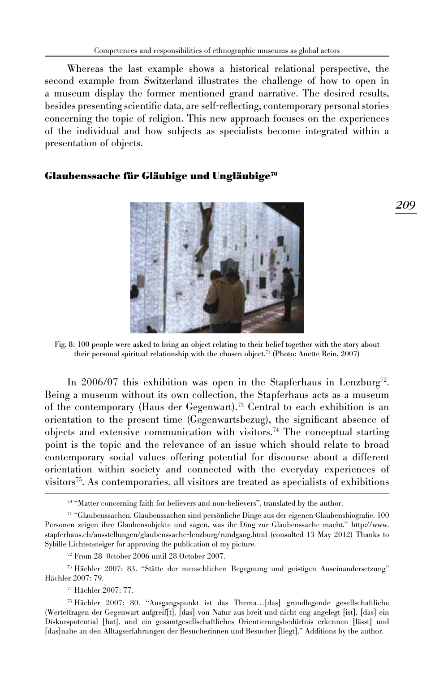Whereas the last example shows a historical relational perspective, the second example from Switzerland illustrates the challenge of how to open in a museum display the former mentioned grand narrative. The desired results, besides presenting scientific data, are self-reflecting, contemporary personal stories concerning the topic of religion. This new approach focuses on the experiences of the individual and how subjects as specialists become integrated within a presentation of objects.

## **Glaubenssache für Gläubige und Ungläubige70**

Fig. 8: 100 people were asked to bring an object relating to their belief together with the story about their personal spiritual relationship with the chosen object.71 (Photo: Anette Rein, 2007)

In 2006/07 this exhibition was open in the Stapferhaus in Lenzburg<sup>72</sup>. Being a museum without its own collection, the Stapferhaus acts as a museum of the contemporary (Haus der Gegenwart).73 Central to each exhibition is an orientation to the present time (Gegenwartsbezug), the significant absence of objects and extensive communication with visitors.74 The conceptual starting point is the topic and the relevance of an issue which should relate to broad contemporary social values offering potential for discourse about a different orientation within society and connected with the everyday experiences of visitors75. As contemporaries, all visitors are treated as specialists of exhibitions

<sup>70</sup> "Matter concerning faith for believers and non-believers", translated by the author.

<sup>72</sup> From 28 0ctober 2006 until 28 October 2007.

<sup>73</sup> Hächler 2007: 83. "Stätte der menschlichen Begegnung und geistigen Auseinandersetzung" Hächler 2007: 79.

<sup>74</sup> Hächler 2007: 77.

<sup>75</sup> Hächler 2007: 80. "Ausgangspunkt ist das Thema…�das� grundlegende gesellschaftliche (Werte)fragen der Gegenwart aufgreifft, [das] von Natur aus breit und nicht eng angelegt [ist], [das] ein Diskurspotential [hat], und ein gesamtgesellschaftliches Orientierungsbedürfnis erkennen [lässt] und [das]nahe an den Alltagserfahrungen der Besucherinnen und Besucher [liegt]." Additions by the author.



<sup>71</sup> "Glaubenssachen. Glaubenssachen sind persönliche Dinge aus der eigenen Glaubensbiografie. 100 Personen zeigen ihre Glaubensobjekte und sagen, was ihr Ding zur Glaubenssache macht." http://www. stapferhaus.ch/ausstellungen/glaubenssache-lenzburg/rundgang.html (consulted 13 May 2012) Thanks to Sybille Lichtensteiger for approving the publication of my picture.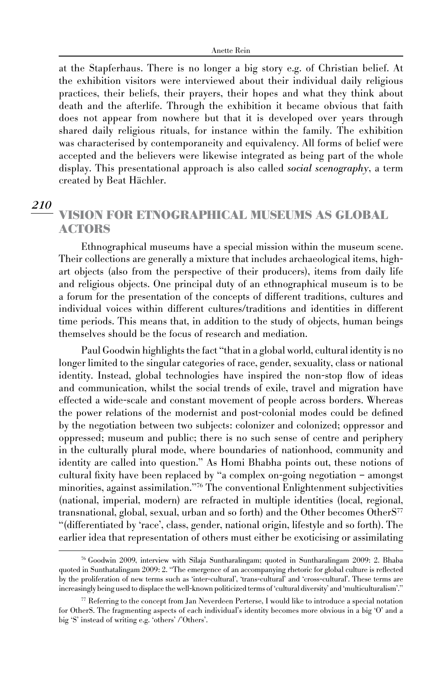at the Stapferhaus. There is no longer a big story e.g. of Christian belief. At the exhibition visitors were interviewed about their individual daily religious practices, their beliefs, their prayers, their hopes and what they think about death and the afterlife. Through the exhibition it became obvious that faith does not appear from nowhere but that it is developed over years through shared daily religious rituals, for instance within the family. The exhibition was characterised by contemporaneity and equivalency. All forms of belief were accepted and the believers were likewise integrated as being part of the whole display. This presentational approach is also called *social scenography*, a term created by Beat Hächler.

## *210*

## **VISION FOR ETNOGRAPHICAL MUSEUMS AS GLOBAL ACTORS**

Ethnographical museums have a special mission within the museum scene. Their collections are generally a mixture that includes archaeological items, highart objects (also from the perspective of their producers), items from daily life and religious objects. One principal duty of an ethnographical museum is to be a forum for the presentation of the concepts of different traditions, cultures and individual voices within different cultures/traditions and identities in different time periods. This means that, in addition to the study of objects, human beings themselves should be the focus of research and mediation.

Paul Goodwin highlights the fact "that in a global world, cultural identity is no longer limited to the singular categories of race, gender, sexuality, class or national identity. Instead, global technologies have inspired the non-stop flow of ideas and communication, whilst the social trends of exile, travel and migration have effected a wide-scale and constant movement of people across borders. Whereas the power relations of the modernist and post-colonial modes could be defined by the negotiation between two subjects: colonizer and colonized; oppressor and oppressed; museum and public; there is no such sense of centre and periphery in the culturally plural mode, where boundaries of nationhood, community and identity are called into question." As Homi Bhabha points out, these notions of cultural fixity have been replaced by "a complex on-going negotiation – amongst minorities, against assimilation."76 The conventional Enlightenment subjectivities (national, imperial, modern) are refracted in multiple identities (local, regional, transnational, global, sexual, urban and so forth) and the Other becomes OtherS77 "(differentiated by �race', class, gender, national origin, lifestyle and so forth). The earlier idea that representation of others must either be exoticising or assimilating

<sup>76</sup> Goodwin 2009, interview with Silaja Suntharalingam; quoted in Suntharalingam 2009: 2. Bhaba quoted in Sunthatalingam 2009: 2. "The emergence of an accompanying rhetoric for global culture is reflected by the proliferation of new terms such as 'inter-cultural', 'trans-cultural' and 'cross-cultural'. These terms are increasingly being used to displace the well-known politicized terms of 'cultural diversity' and 'multiculturalism'."

<sup>77</sup> Referring to the concept from Jan Neverdeen Perterse, I would like to introduce a special notation for OtherS. The fragmenting aspects of each individual's identity becomes more obvious in a big 'O' and a big 'S' instead of writing e.g. 'others' /'Others'.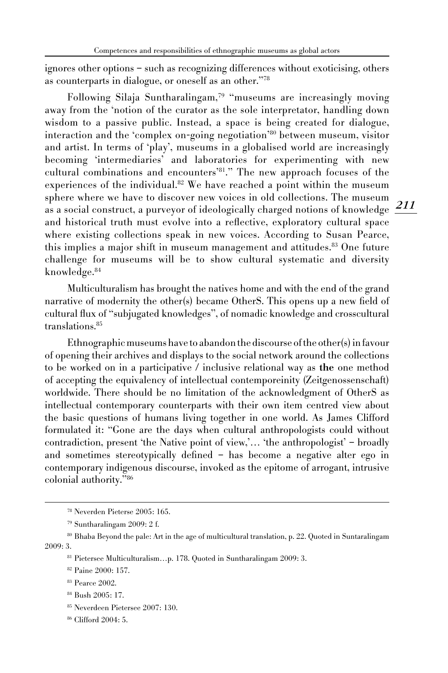ignores other options – such as recognizing differences without exoticising, others as counterparts in dialogue, or oneself as an other."78

as a social construct, a purveyor of ideologically charged notions of knowledge  $\frac{211}{21}$ Following Silaja Suntharalingam,79 "museums are increasingly moving away from the 'notion of the curator as the sole interpretator, handling down wisdom to a passive public. Instead, a space is being created for dialogue, interaction and the 'complex on-going negotiation'<sup>80</sup> between museum, visitor and artist. In terms of 'play', museums in a globalised world are increasingly becoming 'intermediaries' and laboratories for experimenting with new cultural combinations and encounters'81." The new approach focuses of the experiences of the individual.82 We have reached a point within the museum sphere where we have to discover new voices in old collections. The museum and historical truth must evolve into a reflective, exploratory cultural space where existing collections speak in new voices. According to Susan Pearce, this implies a major shift in museum management and attitudes.<sup>83</sup> One future challenge for museums will be to show cultural systematic and diversity knowledge.84

Multiculturalism has brought the natives home and with the end of the grand narrative of modernity the other(s) became OtherS. This opens up a new field of cultural flux of "subjugated knowledges", of nomadic knowledge and crosscultural translations.85

Ethnographic museums have to abandon the discourse of the other(s) in favour of opening their archives and displays to the social network around the collections to be worked on in a participative / inclusive relational way as the one method of accepting the equivalency of intellectual contemporeinity (Zeitgenossenschaft) worldwide. There should be no limitation of the acknowledgment of OtherS as intellectual contemporary counterparts with their own item centred view about the basic questions of humans living together in one world. As James Clifford formulated it: "Gone are the days when cultural anthropologists could without contradiction, present 'the Native point of view,'... 'the anthropologist' - broadly and sometimes stereotypically defined – has become a negative alter ego in contemporary indigenous discourse, invoked as the epitome of arrogant, intrusive colonial authority."<sup>86</sup>

- <sup>84</sup> Bush 2005: 17.
- <sup>85</sup> Neverdeen Pietersee 2007: 130.
- <sup>86</sup> Clifford 2004: 5.

<sup>78</sup> Neverden Pieterse 2005: 165.

<sup>79</sup> Suntharalingam 2009: 2 f.

<sup>80</sup> Bhaba Beyond the pale: Art in the age of multicultural translation, p. 22. Quoted in Suntaralingam 2009: 3.

<sup>81</sup> Pietersee Multiculturalism…p. 178. Quoted in Suntharalingam 2009: 3.

<sup>82</sup> Paine 2000: 157.

<sup>83</sup> Pearce 2002.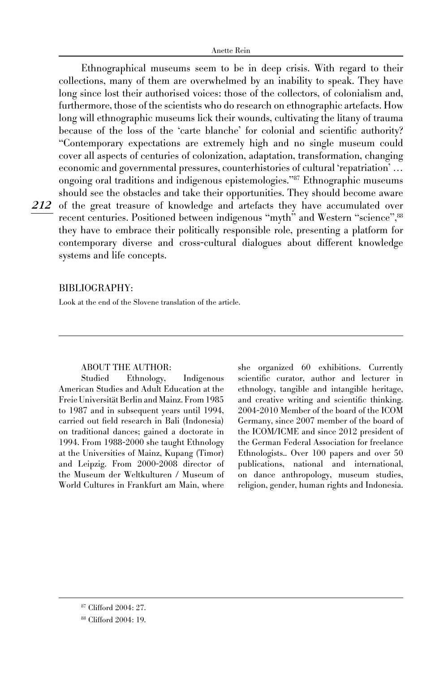Anette Rein

*212* of the great treasure of knowledge and artefacts they have accumulated over Ethnographical museums seem to be in deep crisis. With regard to their collections, many of them are overwhelmed by an inability to speak. They have long since lost their authorised voices: those of the collectors, of colonialism and, furthermore, those of the scientists who do research on ethnographic artefacts. How long will ethnographic museums lick their wounds, cultivating the litany of trauma because of the loss of the 'carte blanche' for colonial and scientific authority? "Contemporary expectations are extremely high and no single museum could cover all aspects of centuries of colonization, adaptation, transformation, changing economic and governmental pressures, counterhistories of cultural 'repatriation' ... ongoing oral traditions and indigenous epistemologies."87 Ethnographic museums should see the obstacles and take their opportunities. They should become aware recent centuries. Positioned between indigenous "myth" and Western "science", <sup>88</sup> they have to embrace their politically responsible role, presenting a platform for contemporary diverse and cross-cultural dialogues about different knowledge systems and life concepts.

#### Bibliography:

Look at the end of the Slovene translation of the article.

#### About the author:

Studied Ethnology, Indigenous American Studies and Adult Education at the Freie Universität Berlin and Mainz. From 1985 to 1987 and in subsequent years until 1994, carried out field research in Bali (Indonesia) on traditional dances; gained a doctorate in 1994. From 1988-2000 she taught Ethnology at the Universities of Mainz, Kupang (Timor) and Leipzig. From 2000-2008 director of the Museum der Weltkulturen / Museum of World Cultures in Frankfurt am Main, where she organized 60 exhibitions. Currently scientific curator, author and lecturer in ethnology, tangible and intangible heritage, and creative writing and scientific thinking. 2004-2010 Member of the board of the ICOM Germany, since 2007 member of the board of the ICOM/ICME and since 2012 president of the German Federal Association for freelance Ethnologists.. Over 100 papers and over 50 publications, national and international, on dance anthropology, museum studies, religion, gender, human rights and Indonesia.

<sup>87</sup> Clifford 2004: 27.

<sup>88</sup> Clifford 2004: 19.